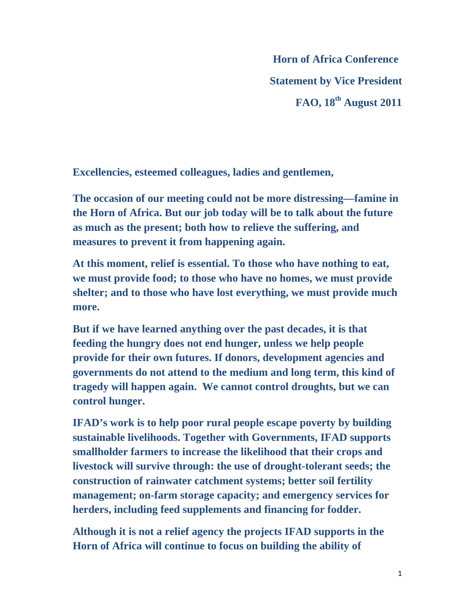**Horn of Africa Conference Statement by Vice President FAO, 18th August 2011** 

**Excellencies, esteemed colleagues, ladies and gentlemen,** 

**The occasion of our meeting could not be more distressing—famine in the Horn of Africa. But our job today will be to talk about the future as much as the present; both how to relieve the suffering, and measures to prevent it from happening again.** 

**At this moment, relief is essential. To those who have nothing to eat, we must provide food; to those who have no homes, we must provide shelter; and to those who have lost everything, we must provide much more.** 

**But if we have learned anything over the past decades, it is that feeding the hungry does not end hunger, unless we help people provide for their own futures. If donors, development agencies and governments do not attend to the medium and long term, this kind of tragedy will happen again. We cannot control droughts, but we can control hunger.** 

**IFAD's work is to help poor rural people escape poverty by building sustainable livelihoods. Together with Governments, IFAD supports smallholder farmers to increase the likelihood that their crops and livestock will survive through: the use of drought-tolerant seeds; the construction of rainwater catchment systems; better soil fertility management; on-farm storage capacity; and emergency services for herders, including feed supplements and financing for fodder.** 

**Although it is not a relief agency the projects IFAD supports in the Horn of Africa will continue to focus on building the ability of**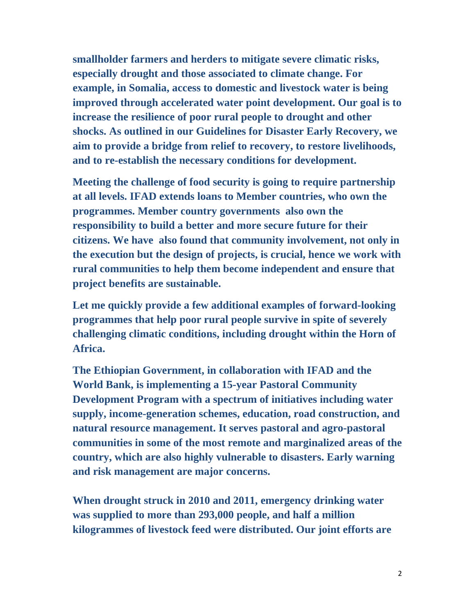**smallholder farmers and herders to mitigate severe climatic risks, especially drought and those associated to climate change. For example, in Somalia, access to domestic and livestock water is being improved through accelerated water point development. Our goal is to increase the resilience of poor rural people to drought and other shocks. As outlined in our Guidelines for Disaster Early Recovery, we aim to provide a bridge from relief to recovery, to restore livelihoods, and to re-establish the necessary conditions for development.** 

**Meeting the challenge of food security is going to require partnership at all levels. IFAD extends loans to Member countries, who own the programmes. Member country governments also own the responsibility to build a better and more secure future for their citizens. We have also found that community involvement, not only in the execution but the design of projects, is crucial, hence we work with rural communities to help them become independent and ensure that project benefits are sustainable.** 

**Let me quickly provide a few additional examples of forward-looking programmes that help poor rural people survive in spite of severely challenging climatic conditions, including drought within the Horn of Africa.** 

**The Ethiopian Government, in collaboration with IFAD and the World Bank, is implementing a 15-year Pastoral Community Development Program with a spectrum of initiatives including water supply, income-generation schemes, education, road construction, and natural resource management. It serves pastoral and agro-pastoral communities in some of the most remote and marginalized areas of the country, which are also highly vulnerable to disasters. Early warning and risk management are major concerns.** 

**When drought struck in 2010 and 2011, emergency drinking water was supplied to more than 293,000 people, and half a million kilogrammes of livestock feed were distributed. Our joint efforts are**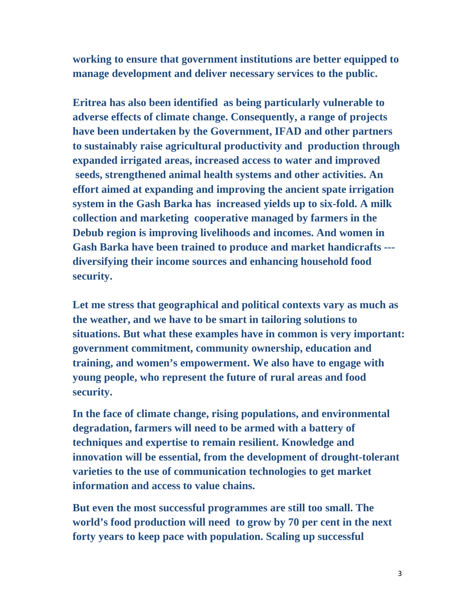**working to ensure that government institutions are better equipped to manage development and deliver necessary services to the public.** 

**Eritrea has also been identified as being particularly vulnerable to adverse effects of climate change. Consequently, a range of projects have been undertaken by the Government, IFAD and other partners to sustainably raise agricultural productivity and production through expanded irrigated areas, increased access to water and improved seeds, strengthened animal health systems and other activities. An effort aimed at expanding and improving the ancient spate irrigation system in the Gash Barka has increased yields up to six-fold. A milk collection and marketing cooperative managed by farmers in the Debub region is improving livelihoods and incomes. And women in Gash Barka have been trained to produce and market handicrafts -- diversifying their income sources and enhancing household food security.** 

**Let me stress that geographical and political contexts vary as much as the weather, and we have to be smart in tailoring solutions to situations. But what these examples have in common is very important: government commitment, community ownership, education and training, and women's empowerment. We also have to engage with young people, who represent the future of rural areas and food security.** 

**In the face of climate change, rising populations, and environmental degradation, farmers will need to be armed with a battery of techniques and expertise to remain resilient. Knowledge and innovation will be essential, from the development of drought-tolerant varieties to the use of communication technologies to get market information and access to value chains.** 

**But even the most successful programmes are still too small. The world's food production will need to grow by 70 per cent in the next forty years to keep pace with population. Scaling up successful**